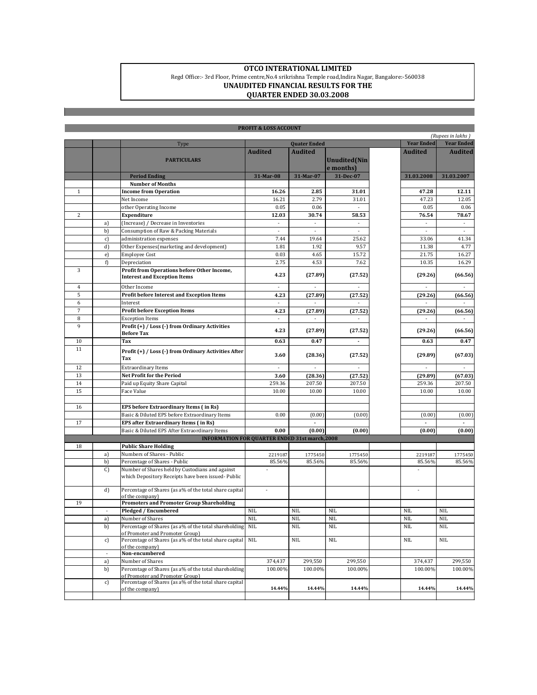## **OTCO INTERATIONAL LIMITED** Regd Office:- 3rd Floor, Prime centre,No.4 srikrishna Temple road,Indira Nagar, Bangalore:-560038 **UNAUDITED FINANCIAL RESULTS FOR THE QUARTER ENDED 30.03.2008**

| <b>PROFIT &amp; LOSS ACCOUNT</b>                      |               |                                                                                                      |                          |                          |                                   |                          |                          |  |
|-------------------------------------------------------|---------------|------------------------------------------------------------------------------------------------------|--------------------------|--------------------------|-----------------------------------|--------------------------|--------------------------|--|
|                                                       |               |                                                                                                      |                          |                          |                                   |                          | (Rupees in lakhs)        |  |
|                                                       |               | <b>Quater Ended</b><br>Type                                                                          |                          |                          |                                   | <b>Year Ended</b>        | <b>Year Ended</b>        |  |
|                                                       |               | <b>PARTICULARS</b>                                                                                   | <b>Audited</b>           | <b>Audited</b>           | <b>Unudited</b> (Nin<br>e months) | <b>Audited</b>           | <b>Audited</b>           |  |
|                                                       |               | <b>Period Ending</b>                                                                                 | 31-Mar-08                | 31-Mar-07                | 31-Dec-07                         | 31.03.2008               | 31.03.2007               |  |
|                                                       |               | <b>Number of Months</b>                                                                              |                          |                          |                                   |                          |                          |  |
| $\mathbf{1}$                                          |               | <b>Income from Operation</b>                                                                         | 16.26                    | 2.85                     | 31.01                             | 47.28                    | 12.11                    |  |
|                                                       |               | Net Income                                                                                           | 16.21                    | 2.79                     | 31.01                             | 47.23                    | 12.05                    |  |
|                                                       |               | other Operating Income                                                                               | 0.05                     | 0.06                     |                                   | 0.05                     | 0.06                     |  |
| 2                                                     |               | Expenditure                                                                                          | 12.03                    | 30.74                    | 58.53                             | 76.54                    | 78.67                    |  |
|                                                       | a)            | (Increase) / Decrease in Inventories                                                                 | $\overline{\phantom{a}}$ | ÷,                       |                                   | $\sim$                   | $\overline{\phantom{a}}$ |  |
|                                                       | b)            | Consumption of Raw & Packing Materials                                                               | ÷,                       |                          |                                   |                          |                          |  |
|                                                       | c)            | administration expenses                                                                              | 7.44                     | 19.64                    | 25.62                             | 33.06                    | 41.34                    |  |
|                                                       | d)            | Other Expenses(marketing and development)                                                            | 1.81                     | 1.92                     | 9.57                              | 11.38                    | 4.77                     |  |
|                                                       | e)            | <b>Employee Cost</b>                                                                                 | 0.03                     | 4.65                     | 15.72                             | 21.75                    | 16.27                    |  |
|                                                       | f)            | Depreciation                                                                                         | 2.75                     | 4.53                     | 7.62                              | 10.35                    | 16.29                    |  |
| 3                                                     |               | Profit from Operations before Other Income,<br><b>Interest and Exception Items</b>                   | 4.23                     | (27.89)                  | (27.52)                           | (29.26)                  | (66.56)                  |  |
| $\overline{4}$                                        |               | Other Income                                                                                         | $\overline{\phantom{a}}$ | $\blacksquare$           | $\overline{\phantom{a}}$          | $\sim$                   | $\overline{\phantom{a}}$ |  |
| 5                                                     |               | Profit before Interest and Exception Items                                                           | 4.23                     | (27.89)                  | (27.52)                           | (29.26)                  | (66.56)                  |  |
| 6                                                     |               | Interest                                                                                             | $\overline{\phantom{a}}$ |                          |                                   |                          | $\sim$                   |  |
| 7                                                     |               | <b>Profit before Exception Items</b>                                                                 | 4.23                     | (27.89)                  | (27.52)                           | (29.26)                  | (66.56)                  |  |
| 8                                                     |               | <b>Exception Items</b>                                                                               | $\overline{\phantom{a}}$ | ÷,                       | $\overline{\phantom{a}}$          | $\overline{\phantom{a}}$ | $\overline{\phantom{a}}$ |  |
| 9                                                     |               | Profit (+) / Loss (-) from Ordinary Activities<br><b>Before Tax</b>                                  | 4.23                     | (27.89)                  | (27.52)                           | (29.26)                  | (66.56)                  |  |
| 10                                                    |               | Tax                                                                                                  | 0.63                     | 0.47                     |                                   | 0.63                     | 0.47                     |  |
| 11                                                    |               | Profit (+) / Loss (-) from Ordinary Activities After<br>Tax                                          | 3.60                     | (28.36)                  | (27.52)                           | (29.89)                  | (67.03)                  |  |
| 12                                                    |               | <b>Extraordinary Items</b>                                                                           |                          |                          |                                   |                          |                          |  |
| 13                                                    |               | Net Profit for the Period                                                                            | 3.60                     | (28.36)                  | (27.52)                           | (29.89)                  | (67.03)                  |  |
| 14                                                    |               | Paid up Equity Share Capital                                                                         | 259.36                   | 207.50                   | 207.50                            | 259.36                   | 207.50                   |  |
| 15                                                    |               | Face Value                                                                                           | 10.00                    | 10.00                    | 10.00                             | 10.00                    | 10.00                    |  |
|                                                       |               |                                                                                                      |                          |                          |                                   |                          |                          |  |
| 16                                                    |               | EPS before Extraordinary Items (in Rs)                                                               |                          |                          |                                   |                          |                          |  |
|                                                       |               | Basic & Diluted EPS before Extraordinary Items                                                       | 0.00                     | (0.00)                   | (0.00)                            | (0.00)                   | (0.00)                   |  |
| 17                                                    |               | EPS after Extraordinary Items (in Rs)                                                                |                          | $\overline{\phantom{a}}$ |                                   | ÷,                       | $\overline{a}$           |  |
|                                                       |               | Basic & Diluted EPS After Extraordinary Items                                                        | 0.00                     | (0.00)                   | (0.00)                            | (0.00)                   | (0.00)                   |  |
| <b>INFORMATION FOR QUARTER ENDED 31st march, 2008</b> |               |                                                                                                      |                          |                          |                                   |                          |                          |  |
| 18                                                    |               | <b>Public Share Holding</b>                                                                          |                          |                          |                                   |                          |                          |  |
|                                                       | a)            | Numbers of Shares - Public                                                                           | 2219187                  | 1775450                  | 1775450                           | 2219187                  | 1775450                  |  |
|                                                       | b)            | Percentage of Shares - Public                                                                        | 85.56%                   | 85.56%                   | 85.56%                            | 85.56%                   | 85.56%                   |  |
|                                                       | $\mathcal{C}$ | Number of Shares held by Custodians and against<br>which Depository Receipts have been issued-Public |                          |                          |                                   |                          |                          |  |
|                                                       | d)            | Percentage of Shares (as a% of the total share capital                                               | $\overline{\phantom{a}}$ |                          |                                   |                          |                          |  |
|                                                       |               | of the company)                                                                                      |                          |                          |                                   |                          |                          |  |
| 19                                                    |               | <b>Promoters and Promoter Group Shareholding</b>                                                     |                          |                          |                                   |                          |                          |  |
|                                                       | ÷             | Pledged / Encumbered                                                                                 | <b>NIL</b>               | NIL                      | <b>NIL</b>                        | <b>NIL</b>               | NIL                      |  |
|                                                       | a)            | Number of Shares                                                                                     | <b>NIL</b>               | NIL                      | <b>NIL</b>                        | <b>NIL</b>               | <b>NIL</b>               |  |
|                                                       | b)            | Percentage of Shares (as a% of the total shareholding NIL<br>of Promoter and Promoter Group)         |                          | $\rm NIL$                | NIL                               | $\rm NIL$                | <b>NIL</b>               |  |
|                                                       | c)<br>÷       | Percentage of Shares (as a% of the total share capital<br>of the company)<br>Non-encumbered          | <b>NIL</b>               | NIL                      | <b>NIL</b>                        | <b>NIL</b>               | NIL.                     |  |
|                                                       | a)            | Number of Shares                                                                                     | 374,437                  | 299,550                  | 299,550                           | 374,437                  | 299,550                  |  |
|                                                       | b)            | Percentage of Shares (as a% of the total shareholding<br>of Promoter and Promoter Group)             | 100.00%                  | 100.00%                  | 100.00%                           | 100.00%                  | 100.00%                  |  |
|                                                       | c)            | Percentage of Shares (as a% of the total share capital<br>of the company)                            | 14.44%                   | 14.44%                   | 14.44%                            | 14.44%                   | 14.44%                   |  |
|                                                       |               |                                                                                                      |                          |                          |                                   |                          |                          |  |